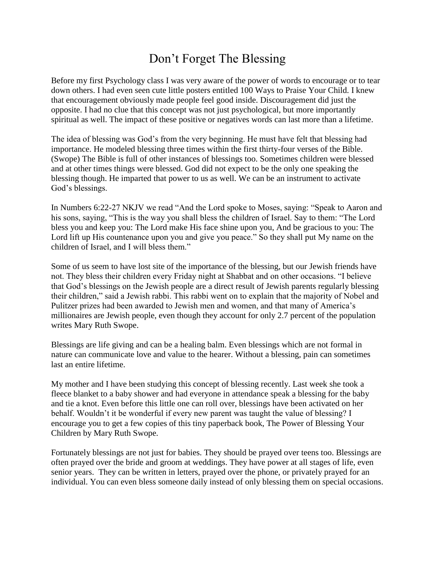## Don't Forget The Blessing

Before my first Psychology class I was very aware of the power of words to encourage or to tear down others. I had even seen cute little posters entitled 100 Ways to Praise Your Child. I knew that encouragement obviously made people feel good inside. Discouragement did just the opposite. I had no clue that this concept was not just psychological, but more importantly spiritual as well. The impact of these positive or negatives words can last more than a lifetime.

The idea of blessing was God's from the very beginning. He must have felt that blessing had importance. He modeled blessing three times within the first thirty-four verses of the Bible. (Swope) The Bible is full of other instances of blessings too. Sometimes children were blessed and at other times things were blessed. God did not expect to be the only one speaking the blessing though. He imparted that power to us as well. We can be an instrument to activate God's blessings.

In Numbers 6:22-27 NKJV we read "And the Lord spoke to Moses, saying: "Speak to Aaron and his sons, saying, "This is the way you shall bless the children of Israel. Say to them: "The Lord bless you and keep you: The Lord make His face shine upon you, And be gracious to you: The Lord lift up His countenance upon you and give you peace." So they shall put My name on the children of Israel, and I will bless them."

Some of us seem to have lost site of the importance of the blessing, but our Jewish friends have not. They bless their children every Friday night at Shabbat and on other occasions. "I believe that God's blessings on the Jewish people are a direct result of Jewish parents regularly blessing their children," said a Jewish rabbi. This rabbi went on to explain that the majority of Nobel and Pulitzer prizes had been awarded to Jewish men and women, and that many of America's millionaires are Jewish people, even though they account for only 2.7 percent of the population writes Mary Ruth Swope.

Blessings are life giving and can be a healing balm. Even blessings which are not formal in nature can communicate love and value to the hearer. Without a blessing, pain can sometimes last an entire lifetime.

My mother and I have been studying this concept of blessing recently. Last week she took a fleece blanket to a baby shower and had everyone in attendance speak a blessing for the baby and tie a knot. Even before this little one can roll over, blessings have been activated on her behalf. Wouldn't it be wonderful if every new parent was taught the value of blessing? I encourage you to get a few copies of this tiny paperback book, The Power of Blessing Your Children by Mary Ruth Swope.

Fortunately blessings are not just for babies. They should be prayed over teens too. Blessings are often prayed over the bride and groom at weddings. They have power at all stages of life, even senior years. They can be written in letters, prayed over the phone, or privately prayed for an individual. You can even bless someone daily instead of only blessing them on special occasions.